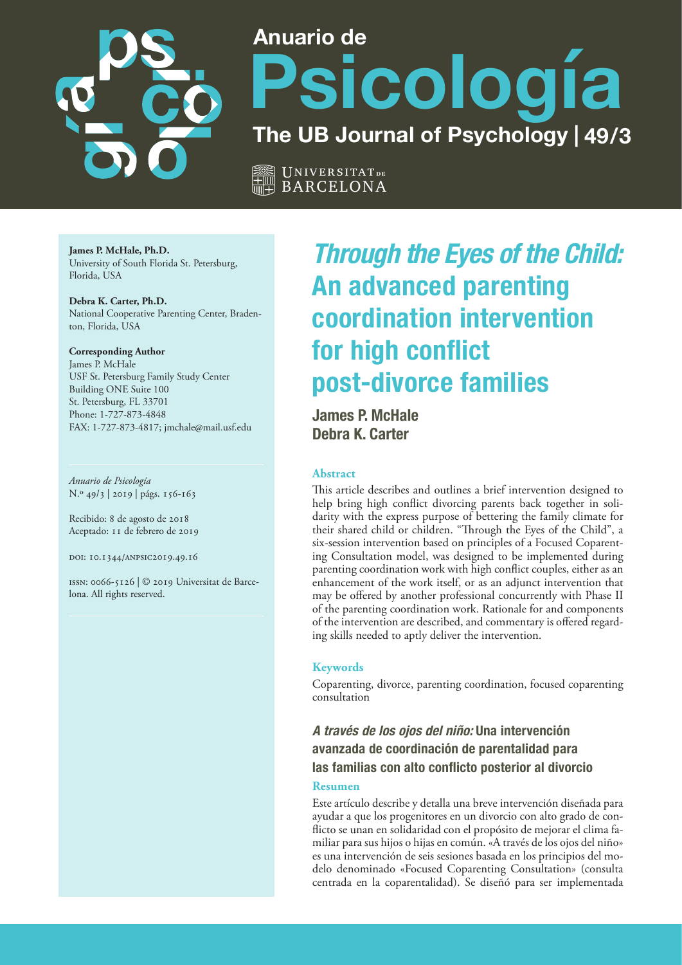

# **Anuario de Psicología The UB Journal of Psychology | 49/3**

Universitat **de** BARCELONA

**James P. McHale, Ph.D.** University of South Florida St. Petersburg, Florida, USA

**Debra K. Carter, Ph.D.** National Cooperative Parenting Center, Bradenton, Florida, USA

**Corresponding Author** James P. McHale USF St. Petersburg Family Study Center Building ONE Suite 100 St. Petersburg, FL 33701 Phone: 1-727-873-4848 FAX: 1-727-873-4817; jmchale@mail.usf.edu

*Anuario de Psicología* N.º 49/3 | 2019 | págs. 156-163

Recibido: 8 de agosto de 2018 Aceptado: 11 de febrero de 2019

doi: 10.1344/anpsic2019.49.16

issn: 0066-5126 | © 2019 Universitat de Barcelona. All rights reserved.

# **Through the Eyes of the Child: An advanced parenting coordination intervention for high conflict post-divorce families**

**James P. McHale Debra K. Carter**

#### **Abstract**

This article describes and outlines a brief intervention designed to help bring high conflict divorcing parents back together in solidarity with the express purpose of bettering the family climate for their shared child or children. "Through the Eyes of the Child", a six-session intervention based on principles of a Focused Coparenting Consultation model, was designed to be implemented during parenting coordination work with high conflict couples, either as an enhancement of the work itself, or as an adjunct intervention that may be offered by another professional concurrently with Phase II of the parenting coordination work. Rationale for and components of the intervention are described, and commentary is offered regarding skills needed to aptly deliver the intervention.

#### **Keywords**

Coparenting, divorce, parenting coordination, focused coparenting consultation

**A través de los ojos del niño: Una intervención avanzada de coordinación de parentalidad para las familias con alto conflicto posterior al divorcio**

#### **Resumen**

Este artículo describe y detalla una breve intervención diseñada para ayudar a que los progenitores en un divorcio con alto grado de conflicto se unan en solidaridad con el propósito de mejorar el clima familiar para sus hijos o hijas en común. «A través de los ojos del niño» es una intervención de seis sesiones basada en los principios del modelo denominado «Focused Coparenting Consultation» (consulta centrada en la coparentalidad). Se diseñó para ser implementada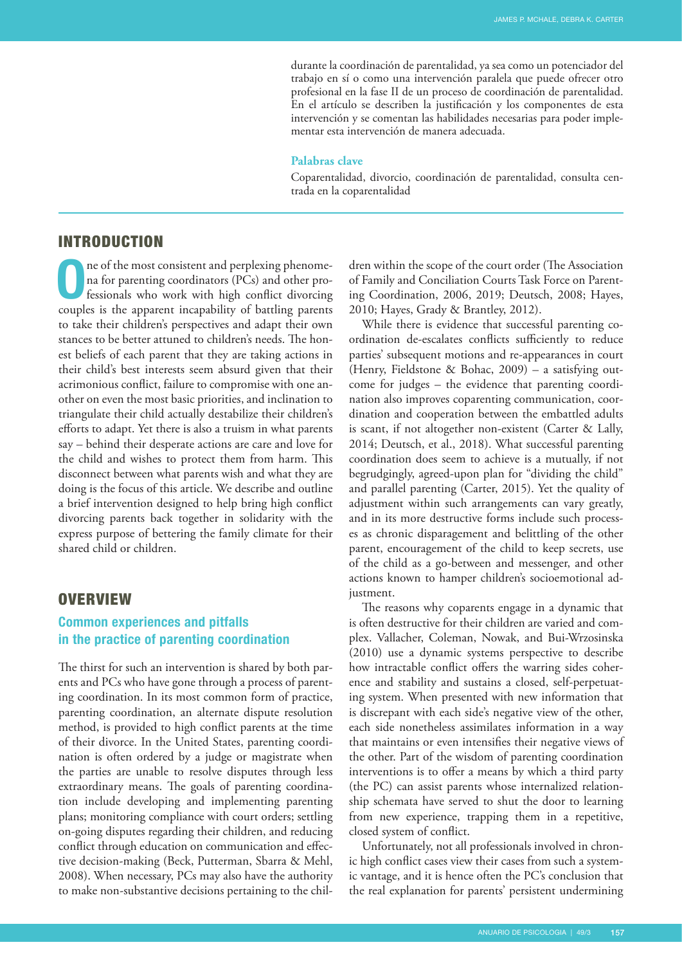durante la coordinación de parentalidad, ya sea como un potenciador del trabajo en sí o como una intervención paralela que puede ofrecer otro profesional en la fase II de un proceso de coordinación de parentalidad. En el artículo se describen la justificación y los componentes de esta intervención y se comentan las habilidades necesarias para poder implementar esta intervención de manera adecuada.

#### **Palabras clave**

Coparentalidad, divorcio, coordinación de parentalidad, consulta centrada en la coparentalidad

#### INTRODUCTION

**O**ne of the most consistent and perplexing phenome-<br>
na for parenting coordinators (PCs) and other pro-<br>
fessionals who work with high conflict divorcing<br>
species is the property in parakiling of harding power na for parenting coordinators (PCs) and other procouples is the apparent incapability of battling parents to take their children's perspectives and adapt their own stances to be better attuned to children's needs. The honest beliefs of each parent that they are taking actions in their child's best interests seem absurd given that their acrimonious conflict, failure to compromise with one another on even the most basic priorities, and inclination to triangulate their child actually destabilize their children's efforts to adapt. Yet there is also a truism in what parents say – behind their desperate actions are care and love for the child and wishes to protect them from harm. This disconnect between what parents wish and what they are doing is the focus of this article. We describe and outline a brief intervention designed to help bring high conflict divorcing parents back together in solidarity with the express purpose of bettering the family climate for their shared child or children.

## **OVERVIEW**

# **Common experiences and pitfalls in the practice of parenting coordination**

The thirst for such an intervention is shared by both parents and PCs who have gone through a process of parenting coordination. In its most common form of practice, parenting coordination, an alternate dispute resolution method, is provided to high conflict parents at the time of their divorce. In the United States, parenting coordination is often ordered by a judge or magistrate when the parties are unable to resolve disputes through less extraordinary means. The goals of parenting coordination include developing and implementing parenting plans; monitoring compliance with court orders; settling on-going disputes regarding their children, and reducing conflict through education on communication and effective decision-making (Beck, Putterman, Sbarra & Mehl, 2008). When necessary, PCs may also have the authority to make non-substantive decisions pertaining to the chil-

dren within the scope of the court order (The Association of Family and Conciliation Courts Task Force on Parenting Coordination, 2006, 2019; Deutsch, 2008; Hayes, 2010; Hayes, Grady & Brantley, 2012).

While there is evidence that successful parenting coordination de-escalates conflicts sufficiently to reduce parties' subsequent motions and re-appearances in court (Henry, Fieldstone & Bohac, 2009) – a satisfying outcome for judges – the evidence that parenting coordination also improves coparenting communication, coordination and cooperation between the embattled adults is scant, if not altogether non-existent (Carter & Lally, 2014; Deutsch, et al., 2018). What successful parenting coordination does seem to achieve is a mutually, if not begrudgingly, agreed-upon plan for "dividing the child" and parallel parenting (Carter, 2015). Yet the quality of adjustment within such arrangements can vary greatly, and in its more destructive forms include such processes as chronic disparagement and belittling of the other parent, encouragement of the child to keep secrets, use of the child as a go-between and messenger, and other actions known to hamper children's socioemotional adjustment.

The reasons why coparents engage in a dynamic that is often destructive for their children are varied and complex. Vallacher, Coleman, Nowak, and Bui-Wrzosinska (2010) use a dynamic systems perspective to describe how intractable conflict offers the warring sides coherence and stability and sustains a closed, self-perpetuating system. When presented with new information that is discrepant with each side's negative view of the other, each side nonetheless assimilates information in a way that maintains or even intensifies their negative views of the other. Part of the wisdom of parenting coordination interventions is to offer a means by which a third party (the PC) can assist parents whose internalized relationship schemata have served to shut the door to learning from new experience, trapping them in a repetitive, closed system of conflict.

Unfortunately, not all professionals involved in chronic high conflict cases view their cases from such a systemic vantage, and it is hence often the PC's conclusion that the real explanation for parents' persistent undermining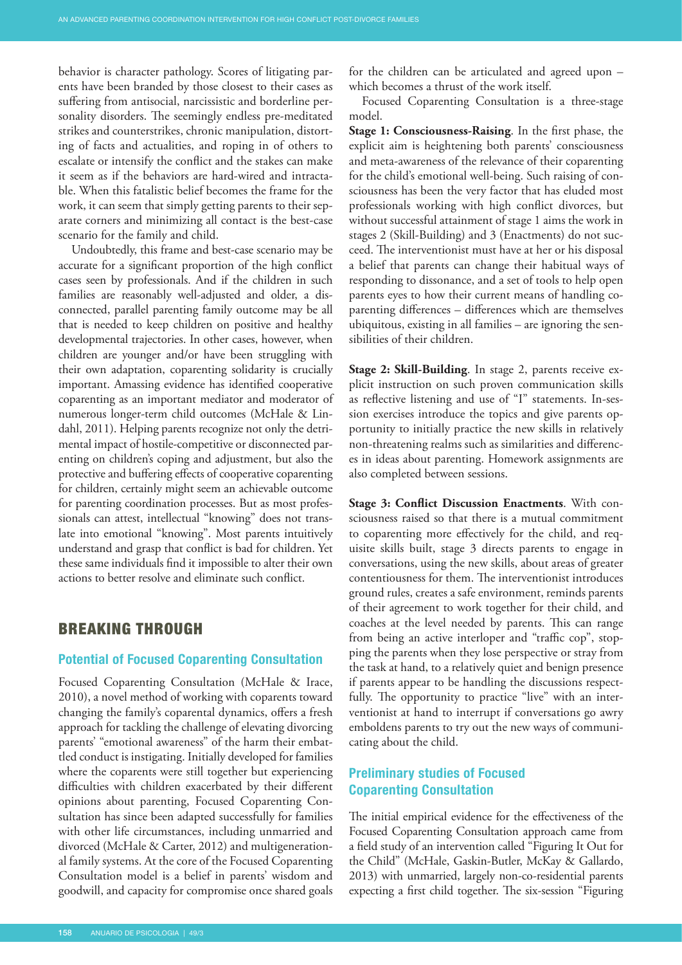behavior is character pathology. Scores of litigating parents have been branded by those closest to their cases as suffering from antisocial, narcissistic and borderline personality disorders. The seemingly endless pre-meditated strikes and counterstrikes, chronic manipulation, distorting of facts and actualities, and roping in of others to escalate or intensify the conflict and the stakes can make it seem as if the behaviors are hard-wired and intractable. When this fatalistic belief becomes the frame for the work, it can seem that simply getting parents to their separate corners and minimizing all contact is the best-case scenario for the family and child.

Undoubtedly, this frame and best-case scenario may be accurate for a significant proportion of the high conflict cases seen by professionals. And if the children in such families are reasonably well-adjusted and older, a disconnected, parallel parenting family outcome may be all that is needed to keep children on positive and healthy developmental trajectories. In other cases, however, when children are younger and/or have been struggling with their own adaptation, coparenting solidarity is crucially important. Amassing evidence has identified cooperative coparenting as an important mediator and moderator of numerous longer-term child outcomes (McHale & Lindahl, 2011). Helping parents recognize not only the detrimental impact of hostile-competitive or disconnected parenting on children's coping and adjustment, but also the protective and buffering effects of cooperative coparenting for children, certainly might seem an achievable outcome for parenting coordination processes. But as most professionals can attest, intellectual "knowing" does not translate into emotional "knowing". Most parents intuitively understand and grasp that conflict is bad for children. Yet these same individuals find it impossible to alter their own actions to better resolve and eliminate such conflict.

### BREAKING THROUGH

#### **Potential of Focused Coparenting Consultation**

Focused Coparenting Consultation (McHale & Irace, 2010), a novel method of working with coparents toward changing the family's coparental dynamics, offers a fresh approach for tackling the challenge of elevating divorcing parents' "emotional awareness" of the harm their embattled conduct is instigating. Initially developed for families where the coparents were still together but experiencing difficulties with children exacerbated by their different opinions about parenting, Focused Coparenting Consultation has since been adapted successfully for families with other life circumstances, including unmarried and divorced (McHale & Carter, 2012) and multigenerational family systems. At the core of the Focused Coparenting Consultation model is a belief in parents' wisdom and goodwill, and capacity for compromise once shared goals

for the children can be articulated and agreed upon – which becomes a thrust of the work itself.

Focused Coparenting Consultation is a three-stage model.

**Stage 1: Consciousness-Raising**. In the first phase, the explicit aim is heightening both parents' consciousness and meta-awareness of the relevance of their coparenting for the child's emotional well-being. Such raising of consciousness has been the very factor that has eluded most professionals working with high conflict divorces, but without successful attainment of stage 1 aims the work in stages 2 (Skill-Building) and 3 (Enactments) do not succeed. The interventionist must have at her or his disposal a belief that parents can change their habitual ways of responding to dissonance, and a set of tools to help open parents eyes to how their current means of handling coparenting differences – differences which are themselves ubiquitous, existing in all families – are ignoring the sensibilities of their children.

**Stage 2: Skill-Building**. In stage 2, parents receive explicit instruction on such proven communication skills as reflective listening and use of "I" statements. In-session exercises introduce the topics and give parents opportunity to initially practice the new skills in relatively non-threatening realms such as similarities and differences in ideas about parenting. Homework assignments are also completed between sessions.

**Stage 3: Conflict Discussion Enactments**. With consciousness raised so that there is a mutual commitment to coparenting more effectively for the child, and requisite skills built, stage 3 directs parents to engage in conversations, using the new skills, about areas of greater contentiousness for them. The interventionist introduces ground rules, creates a safe environment, reminds parents of their agreement to work together for their child, and coaches at the level needed by parents. This can range from being an active interloper and "traffic cop", stopping the parents when they lose perspective or stray from the task at hand, to a relatively quiet and benign presence if parents appear to be handling the discussions respectfully. The opportunity to practice "live" with an interventionist at hand to interrupt if conversations go awry emboldens parents to try out the new ways of communicating about the child.

# **Preliminary studies of Focused Coparenting Consultation**

The initial empirical evidence for the effectiveness of the Focused Coparenting Consultation approach came from a field study of an intervention called "Figuring It Out for the Child" (McHale, Gaskin-Butler, McKay & Gallardo, 2013) with unmarried, largely non-co-residential parents expecting a first child together. The six-session "Figuring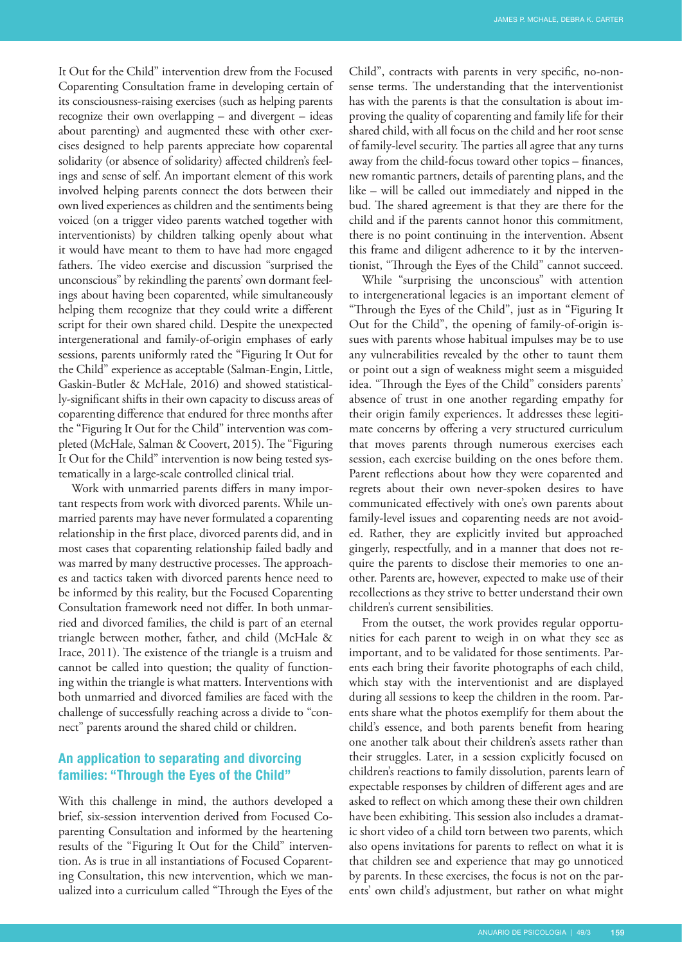It Out for the Child" intervention drew from the Focused Coparenting Consultation frame in developing certain of its consciousness-raising exercises (such as helping parents recognize their own overlapping – and divergent – ideas about parenting) and augmented these with other exercises designed to help parents appreciate how coparental solidarity (or absence of solidarity) affected children's feelings and sense of self. An important element of this work involved helping parents connect the dots between their own lived experiences as children and the sentiments being voiced (on a trigger video parents watched together with interventionists) by children talking openly about what it would have meant to them to have had more engaged fathers. The video exercise and discussion "surprised the unconscious" by rekindling the parents' own dormant feelings about having been coparented, while simultaneously helping them recognize that they could write a different script for their own shared child. Despite the unexpected intergenerational and family-of-origin emphases of early sessions, parents uniformly rated the "Figuring It Out for the Child" experience as acceptable (Salman-Engin, Little, Gaskin-Butler & McHale, 2016) and showed statistically-significant shifts in their own capacity to discuss areas of coparenting difference that endured for three months after the "Figuring It Out for the Child" intervention was completed (McHale, Salman & Coovert, 2015). The "Figuring It Out for the Child" intervention is now being tested systematically in a large-scale controlled clinical trial.

Work with unmarried parents differs in many important respects from work with divorced parents. While unmarried parents may have never formulated a coparenting relationship in the first place, divorced parents did, and in most cases that coparenting relationship failed badly and was marred by many destructive processes. The approaches and tactics taken with divorced parents hence need to be informed by this reality, but the Focused Coparenting Consultation framework need not differ. In both unmarried and divorced families, the child is part of an eternal triangle between mother, father, and child (McHale & Irace, 2011). The existence of the triangle is a truism and cannot be called into question; the quality of functioning within the triangle is what matters. Interventions with both unmarried and divorced families are faced with the challenge of successfully reaching across a divide to "connect" parents around the shared child or children.

# **An application to separating and divorcing families: "Through the Eyes of the Child"**

With this challenge in mind, the authors developed a brief, six-session intervention derived from Focused Coparenting Consultation and informed by the heartening results of the "Figuring It Out for the Child" intervention. As is true in all instantiations of Focused Coparenting Consultation, this new intervention, which we manualized into a curriculum called "Through the Eyes of the

Child", contracts with parents in very specific, no-nonsense terms. The understanding that the interventionist has with the parents is that the consultation is about improving the quality of coparenting and family life for their shared child, with all focus on the child and her root sense of family-level security. The parties all agree that any turns away from the child-focus toward other topics – finances, new romantic partners, details of parenting plans, and the like – will be called out immediately and nipped in the bud. The shared agreement is that they are there for the child and if the parents cannot honor this commitment, there is no point continuing in the intervention. Absent this frame and diligent adherence to it by the interventionist, "Through the Eyes of the Child" cannot succeed.

While "surprising the unconscious" with attention to intergenerational legacies is an important element of "Through the Eyes of the Child", just as in "Figuring It Out for the Child", the opening of family-of-origin issues with parents whose habitual impulses may be to use any vulnerabilities revealed by the other to taunt them or point out a sign of weakness might seem a misguided idea. "Through the Eyes of the Child" considers parents' absence of trust in one another regarding empathy for their origin family experiences. It addresses these legitimate concerns by offering a very structured curriculum that moves parents through numerous exercises each session, each exercise building on the ones before them. Parent reflections about how they were coparented and regrets about their own never-spoken desires to have communicated effectively with one's own parents about family-level issues and coparenting needs are not avoided. Rather, they are explicitly invited but approached gingerly, respectfully, and in a manner that does not require the parents to disclose their memories to one another. Parents are, however, expected to make use of their recollections as they strive to better understand their own children's current sensibilities.

From the outset, the work provides regular opportunities for each parent to weigh in on what they see as important, and to be validated for those sentiments. Parents each bring their favorite photographs of each child, which stay with the interventionist and are displayed during all sessions to keep the children in the room. Parents share what the photos exemplify for them about the child's essence, and both parents benefit from hearing one another talk about their children's assets rather than their struggles. Later, in a session explicitly focused on children's reactions to family dissolution, parents learn of expectable responses by children of different ages and are asked to reflect on which among these their own children have been exhibiting. This session also includes a dramatic short video of a child torn between two parents, which also opens invitations for parents to reflect on what it is that children see and experience that may go unnoticed by parents. In these exercises, the focus is not on the parents' own child's adjustment, but rather on what might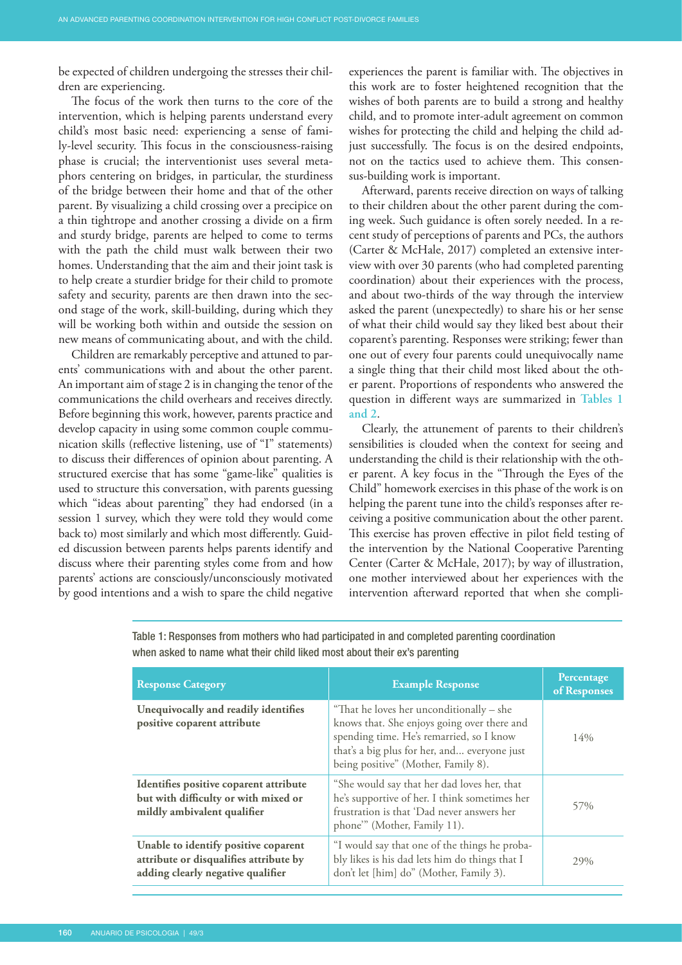<span id="page-4-0"></span>be expected of children undergoing the stresses their children are experiencing.

The focus of the work then turns to the core of the intervention, which is helping parents understand every child's most basic need: experiencing a sense of family-level security. This focus in the consciousness-raising phase is crucial; the interventionist uses several metaphors centering on bridges, in particular, the sturdiness of the bridge between their home and that of the other parent. By visualizing a child crossing over a precipice on a thin tightrope and another crossing a divide on a firm and sturdy bridge, parents are helped to come to terms with the path the child must walk between their two homes. Understanding that the aim and their joint task is to help create a sturdier bridge for their child to promote safety and security, parents are then drawn into the second stage of the work, skill-building, during which they will be working both within and outside the session on new means of communicating about, and with the child.

Children are remarkably perceptive and attuned to parents' communications with and about the other parent. An important aim of stage 2 is in changing the tenor of the communications the child overhears and receives directly. Before beginning this work, however, parents practice and develop capacity in using some common couple communication skills (reflective listening, use of "I" statements) to discuss their differences of opinion about parenting. A structured exercise that has some "game-like" qualities is used to structure this conversation, with parents guessing which "ideas about parenting" they had endorsed (in a session 1 survey, which they were told they would come back to) most similarly and which most differently. Guided discussion between parents helps parents identify and discuss where their parenting styles come from and how parents' actions are consciously/unconsciously motivated by good intentions and a wish to spare the child negative

experiences the parent is familiar with. The objectives in this work are to foster heightened recognition that the wishes of both parents are to build a strong and healthy child, and to promote inter-adult agreement on common wishes for protecting the child and helping the child adjust successfully. The focus is on the desired endpoints, not on the tactics used to achieve them. This consensus-building work is important.

Afterward, parents receive direction on ways of talking to their children about the other parent during the coming week. Such guidance is often sorely needed. In a recent study of perceptions of parents and PCs, the authors (Carter & McHale, 2017) completed an extensive interview with over 30 parents (who had completed parenting coordination) about their experiences with the process, and about two-thirds of the way through the interview asked the parent (unexpectedly) to share his or her sense of what their child would say they liked best about their coparent's parenting. Responses were striking; fewer than one out of every four parents could unequivocally name a single thing that their child most liked about the other parent. Proportions of respondents who answered the question in different ways are summarized in **[Tables 1](#page-5-0) [and 2](#page-5-0)**.

Clearly, the attunement of parents to their children's sensibilities is clouded when the context for seeing and understanding the child is their relationship with the other parent. A key focus in the "Through the Eyes of the Child" homework exercises in this phase of the work is on helping the parent tune into the child's responses after receiving a positive communication about the other parent. This exercise has proven effective in pilot field testing of the intervention by the National Cooperative Parenting Center (Carter & McHale, 2017); by way of illustration, one mother interviewed about her experiences with the intervention afterward reported that when she compli-

| <b>Response Category</b>                                                                                            | <b>Example Response</b>                                                                                                                                                                                                    | Percentage<br>of Responses |
|---------------------------------------------------------------------------------------------------------------------|----------------------------------------------------------------------------------------------------------------------------------------------------------------------------------------------------------------------------|----------------------------|
| Unequivocally and readily identifies<br>positive coparent attribute                                                 | "That he loves her unconditionally – she<br>knows that. She enjoys going over there and<br>spending time. He's remarried, so I know<br>that's a big plus for her, and everyone just<br>being positive" (Mother, Family 8). | $14\%$                     |
| Identifies positive coparent attribute<br>but with difficulty or with mixed or<br>mildly ambivalent qualifier       | "She would say that her dad loves her, that<br>he's supportive of her. I think sometimes her<br>frustration is that 'Dad never answers her<br>phone" (Mother, Family 11).                                                  | 57%                        |
| Unable to identify positive coparent<br>attribute or disqualifies attribute by<br>adding clearly negative qualifier | "I would say that one of the things he proba-<br>bly likes is his dad lets him do things that I<br>don't let [him] do" (Mother, Family 3).                                                                                 | 29%                        |

Table 1: Responses from mothers who had participated in and completed parenting coordination when asked to name what their child liked most about their ex's parenting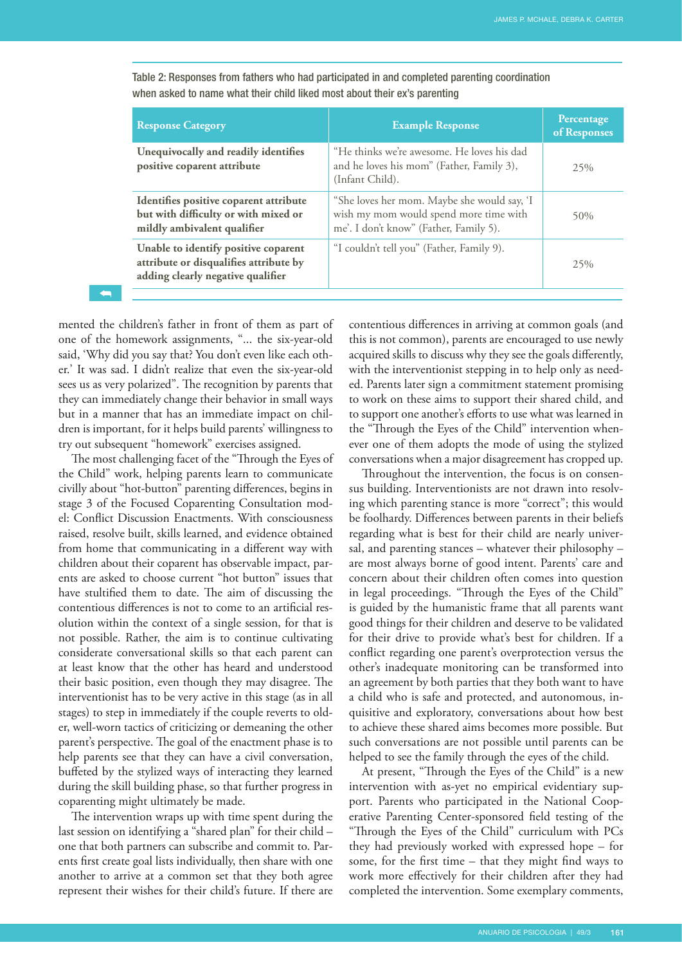| <b>Response Category</b>                                                                                            | <b>Example Response</b>                                                                                                         | Percentage<br>of Responses |
|---------------------------------------------------------------------------------------------------------------------|---------------------------------------------------------------------------------------------------------------------------------|----------------------------|
| Unequivocally and readily identifies<br>positive coparent attribute                                                 | "He thinks we're awesome. He loves his dad<br>and he loves his mom" (Father, Family 3),<br>(Infant Child).                      | 25%                        |
| Identifies positive coparent attribute<br>but with difficulty or with mixed or<br>mildly ambivalent qualifier       | "She loves her mom. Maybe she would say, 'I<br>wish my mom would spend more time with<br>me'. I don't know" (Father, Family 5). | 50%                        |
| Unable to identify positive coparent<br>attribute or disqualifies attribute by<br>adding clearly negative qualifier | "I couldn't tell you" (Father, Family 9).                                                                                       | 25%                        |

<span id="page-5-0"></span>Table 2: Responses from fathers who had participated in and completed parenting coordination when asked to name what their child liked most about their ex's parenting

mented the children's father in front of them as part of one of the homework assignments, "... the six-year-old said, 'Why did you say that? You don't even like each other.' It was sad. I didn't realize that even the six-year-old sees us as very polarized". The recognition by parents that they can immediately change their behavior in small ways but in a manner that has an immediate impact on children is important, for it helps build parents' willingness to try out subsequent "homework" exercises assigned.

[➥](#page-4-0)

The most challenging facet of the "Through the Eyes of the Child" work, helping parents learn to communicate civilly about "hot-button" parenting differences, begins in stage 3 of the Focused Coparenting Consultation model: Conflict Discussion Enactments. With consciousness raised, resolve built, skills learned, and evidence obtained from home that communicating in a different way with children about their coparent has observable impact, parents are asked to choose current "hot button" issues that have stultified them to date. The aim of discussing the contentious differences is not to come to an artificial resolution within the context of a single session, for that is not possible. Rather, the aim is to continue cultivating considerate conversational skills so that each parent can at least know that the other has heard and understood their basic position, even though they may disagree. The interventionist has to be very active in this stage (as in all stages) to step in immediately if the couple reverts to older, well-worn tactics of criticizing or demeaning the other parent's perspective. The goal of the enactment phase is to help parents see that they can have a civil conversation, buffeted by the stylized ways of interacting they learned during the skill building phase, so that further progress in coparenting might ultimately be made.

The intervention wraps up with time spent during the last session on identifying a "shared plan" for their child – one that both partners can subscribe and commit to. Parents first create goal lists individually, then share with one another to arrive at a common set that they both agree represent their wishes for their child's future. If there are contentious differences in arriving at common goals (and this is not common), parents are encouraged to use newly acquired skills to discuss why they see the goals differently, with the interventionist stepping in to help only as needed. Parents later sign a commitment statement promising to work on these aims to support their shared child, and to support one another's efforts to use what was learned in the "Through the Eyes of the Child" intervention whenever one of them adopts the mode of using the stylized conversations when a major disagreement has cropped up.

Throughout the intervention, the focus is on consensus building. Interventionists are not drawn into resolving which parenting stance is more "correct"; this would be foolhardy. Differences between parents in their beliefs regarding what is best for their child are nearly universal, and parenting stances – whatever their philosophy – are most always borne of good intent. Parents' care and concern about their children often comes into question in legal proceedings. "Through the Eyes of the Child" is guided by the humanistic frame that all parents want good things for their children and deserve to be validated for their drive to provide what's best for children. If a conflict regarding one parent's overprotection versus the other's inadequate monitoring can be transformed into an agreement by both parties that they both want to have a child who is safe and protected, and autonomous, inquisitive and exploratory, conversations about how best to achieve these shared aims becomes more possible. But such conversations are not possible until parents can be helped to see the family through the eyes of the child.

At present, "Through the Eyes of the Child" is a new intervention with as-yet no empirical evidentiary support. Parents who participated in the National Cooperative Parenting Center-sponsored field testing of the "Through the Eyes of the Child" curriculum with PCs they had previously worked with expressed hope – for some, for the first time – that they might find ways to work more effectively for their children after they had completed the intervention. Some exemplary comments,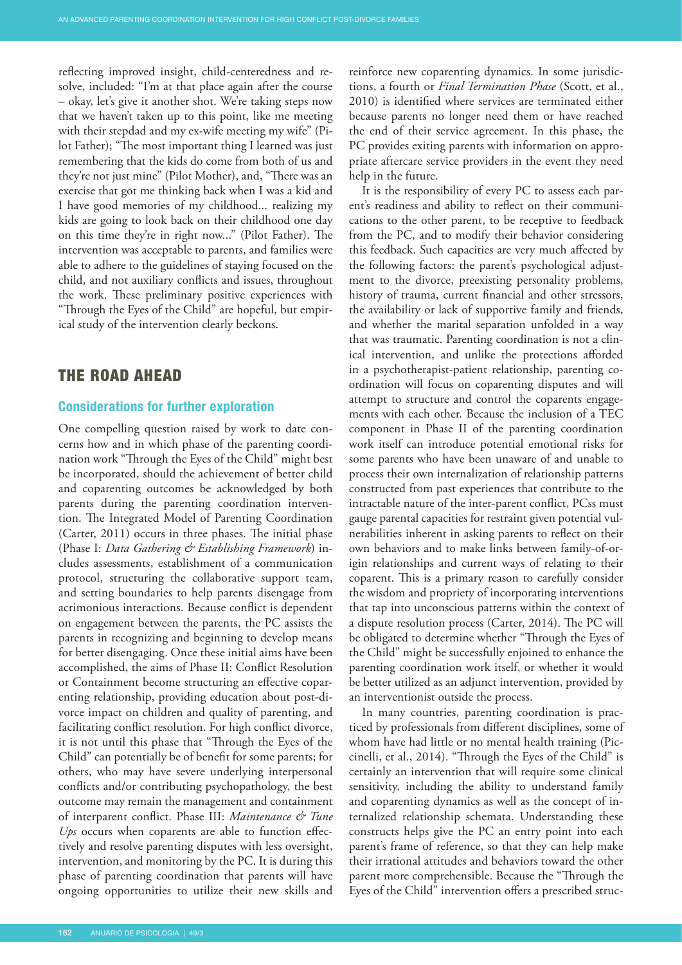reflecting improved insight, child-centeredness and resolve, included: "I'm at that place again after the course – okay, let's give it another shot. We're taking steps now that we haven't taken up to this point, like me meeting with their stepdad and my ex-wife meeting my wife" (Pilot Father); "The most important thing I learned was just remembering that the kids do come from both of us and they're not just mine" (Pilot Mother), and, "There was an exercise that got me thinking back when I was a kid and I have good memories of my childhood... realizing my kids are going to look back on their childhood one day on this time they're in right now..." (Pilot Father). The intervention was acceptable to parents, and families were able to adhere to the guidelines of staying focused on the child, and not auxiliary conflicts and issues, throughout the work. These preliminary positive experiences with "Through the Eyes of the Child" are hopeful, but empirical study of the intervention clearly beckons.

# THE ROAD AHEAD

#### **Considerations for further exploration**

One compelling question raised by work to date concerns how and in which phase of the parenting coordination work "Through the Eyes of the Child" might best be incorporated, should the achievement of better child and coparenting outcomes be acknowledged by both parents during the parenting coordination intervention. The Integrated Model of Parenting Coordination (Carter, 2011) occurs in three phases. The initial phase (Phase I: *Data Gathering & Establishing Framework*) includes assessments, establishment of a communication protocol, structuring the collaborative support team, and setting boundaries to help parents disengage from acrimonious interactions. Because conflict is dependent on engagement between the parents, the PC assists the parents in recognizing and beginning to develop means for better disengaging. Once these initial aims have been accomplished, the aims of Phase II: Conflict Resolution or Containment become structuring an effective coparenting relationship, providing education about post-divorce impact on children and quality of parenting, and facilitating conflict resolution. For high conflict divorce, it is not until this phase that "Through the Eyes of the Child" can potentially be of benefit for some parents; for others, who may have severe underlying interpersonal conflicts and/or contributing psychopathology, the best outcome may remain the management and containment of interparent conflict. Phase III: *Maintenance & Tune Ups* occurs when coparents are able to function effectively and resolve parenting disputes with less oversight, intervention, and monitoring by the PC. It is during this phase of parenting coordination that parents will have ongoing opportunities to utilize their new skills and

reinforce new coparenting dynamics. In some jurisdictions, a fourth or *Final Termination Phase* (Scott, et al., 2010) is identified where services are terminated either because parents no longer need them or have reached the end of their service agreement. In this phase, the PC provides exiting parents with information on appropriate aftercare service providers in the event they need help in the future.

It is the responsibility of every PC to assess each parent's readiness and ability to reflect on their communications to the other parent, to be receptive to feedback from the PC, and to modify their behavior considering this feedback. Such capacities are very much affected by the following factors: the parent's psychological adjustment to the divorce, preexisting personality problems, history of trauma, current financial and other stressors, the availability or lack of supportive family and friends, and whether the marital separation unfolded in a way that was traumatic. Parenting coordination is not a clinical intervention, and unlike the protections afforded in a psychotherapist-patient relationship, parenting coordination will focus on coparenting disputes and will attempt to structure and control the coparents engagements with each other. Because the inclusion of a TEC component in Phase II of the parenting coordination work itself can introduce potential emotional risks for some parents who have been unaware of and unable to process their own internalization of relationship patterns constructed from past experiences that contribute to the intractable nature of the inter-parent conflict, PCss must gauge parental capacities for restraint given potential vulnerabilities inherent in asking parents to reflect on their own behaviors and to make links between family-of-origin relationships and current ways of relating to their coparent. This is a primary reason to carefully consider the wisdom and propriety of incorporating interventions that tap into unconscious patterns within the context of a dispute resolution process (Carter, 2014). The PC will be obligated to determine whether "Through the Eyes of the Child" might be successfully enjoined to enhance the parenting coordination work itself, or whether it would be better utilized as an adjunct intervention, provided by an interventionist outside the process.

In many countries, parenting coordination is practiced by professionals from different disciplines, some of whom have had little or no mental health training (Piccinelli, et al., 2014). "Through the Eyes of the Child" is certainly an intervention that will require some clinical sensitivity, including the ability to understand family and coparenting dynamics as well as the concept of internalized relationship schemata. Understanding these constructs helps give the PC an entry point into each parent's frame of reference, so that they can help make their irrational attitudes and behaviors toward the other parent more comprehensible. Because the "Through the Eyes of the Child" intervention offers a prescribed struc